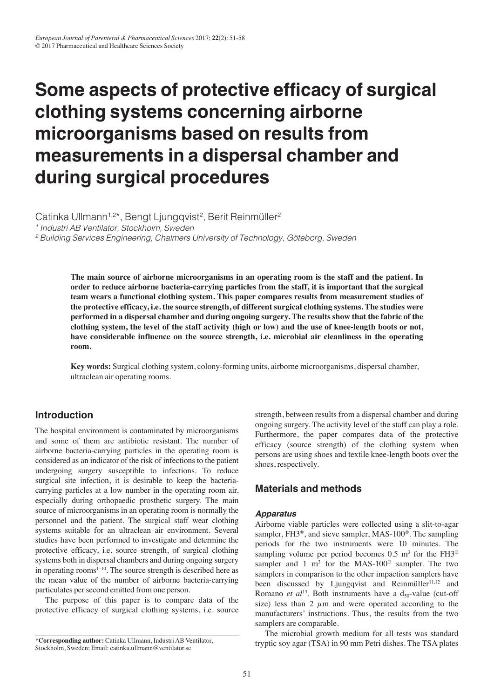# **Some aspects of protective efficacy of surgical clothing systems concerning airborne microorganisms based on results from measurements in a dispersal chamber and during surgical procedures**

Catinka Ullmann<sup>1,2\*</sup>, Bengt Ljungqvist<sup>2</sup>, Berit Reinmüller<sup>2</sup> <sup>1</sup> Industri AB Ventilator, Stockholm, Sweden <sup>2</sup> Building Services Engineering, Chalmers University of Technology, Göteborg, Sweden

> **The main source of airborne microorganisms in an operating room is the staff and the patient. In order to reduce airborne bacteria-carrying particles from the staff, it is important that the surgical team wears a functional clothing system. This paper compares results from measurement studies of the protective efficacy, i.e. the source strength, of different surgical clothing systems. The studies were performed in a dispersal chamber and during ongoing surgery. The results show that the fabric of the clothing system, the level of the staff activity (high or low) and the use of knee-length boots or not, have considerable influence on the source strength, i.e. microbial air cleanliness in the operating room.**

**Key words:** Surgical clothing system, colony-forming units, airborne microorganisms, dispersal chamber, ultraclean air operating rooms.

# **Introduction**

The hospital environment is contaminated by microorganisms and some of them are antibiotic resistant. The number of airborne bacteria-carrying particles in the operating room is considered as an indicator of the risk of infections to the patient undergoing surgery susceptible to infections. To reduce surgical site infection, it is desirable to keep the bacteriacarrying particles at a low number in the operating room air, especially during orthopaedic prosthetic surgery. The main source of microorganisms in an operating room is normally the personnel and the patient. The surgical staff wear clothing systems suitable for an ultraclean air environment. Several studies have been performed to investigate and determine the protective efficacy, i.e. source strength, of surgical clothing systems both in dispersal chambers and during ongoing surgery in operating rooms $1-10$ . The source strength is described here as the mean value of the number of airborne bacteria-carrying particulates per second emitted from one person.

The purpose of this paper is to compare data of the protective efficacy of surgical clothing systems, i.e. source strength, between results from a dispersal chamber and during ongoing surgery. The activity level of the staff can play a role. Furthermore, the paper compares data of the protective efficacy (source strength) of the clothing system when persons are using shoes and textile knee-length boots over the shoes, respectively.

# **Materials and methods**

## *Apparatus*

Airborne viable particles were collected using a slit-to-agar sampler, FH3®, and sieve sampler, MAS-100®. The sampling periods for the two instruments were 10 minutes. The sampling volume per period becomes  $0.5 \text{ m}^3$  for the FH3<sup>®</sup> sampler and 1 m<sup>3</sup> for the MAS-100<sup>®</sup> sampler. The two samplers in comparison to the other impaction samplers have been discussed by Ljungqvist and Reinmüller<sup>11,12</sup> and Romano *et al*<sup>13</sup>. Both instruments have a  $d_{50}$ -value (cut-off size) less than 2  $\mu$ m and were operated according to the manufacturers' instructions. Thus, the results from the two samplers are comparable.

The microbial growth medium for all tests was standard tryptic soy agar (TSA) in 90 mm Petri dishes. The TSA plates

**<sup>\*</sup>Corresponding author:** Catinka Ullmann, Industri AB Ventilator, Stockholm, Sweden; Email: catinka.ullmann@ventilator.se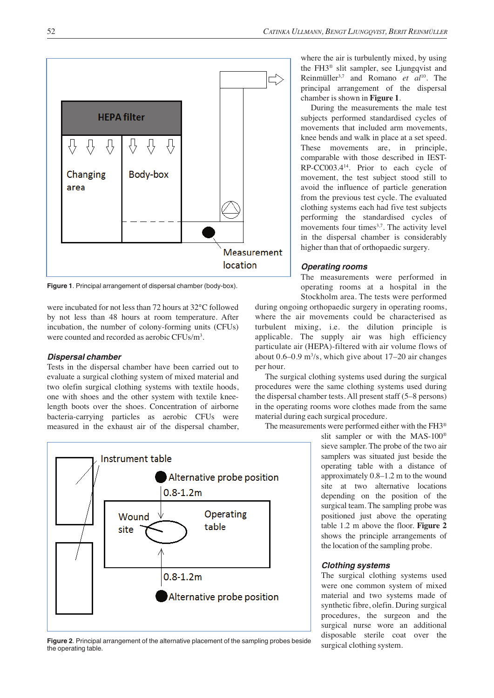

**Figure 1**. Principal arrangement of dispersal chamber (body-box).

were incubated for not less than 72 hours at 32°C followed by not less than 48 hours at room temperature. After incubation, the number of colony-forming units (CFUs) were counted and recorded as aerobic CFUs/m3 .

### *Dispersal chamber*

Tests in the dispersal chamber have been carried out to evaluate a surgical clothing system of mixed material and two olefin surgical clothing systems with textile hoods, one with shoes and the other system with textile kneelength boots over the shoes. Concentration of airborne bacteria-carrying particles as aerobic CFUs were measured in the exhaust air of the dispersal chamber,



**Figure 2**. Principal arrangement of the alternative placement of the sampling probes beside the operating table.

where the air is turbulently mixed, by using the FH3® slit sampler, see Ljungqvist and Reinmüller3,7 and Romano *et al*10. The principal arrangement of the dispersal chamber is shown in **Figure 1**.

During the measurements the male test subjects performed standardised cycles of movements that included arm movements, knee bends and walk in place at a set speed. These movements are, in principle, comparable with those described in IEST-RP-CC003.414. Prior to each cycle of movement, the test subject stood still to avoid the influence of particle generation from the previous test cycle. The evaluated clothing systems each had five test subjects performing the standardised cycles of movements four times<sup>3,7</sup>. The activity level in the dispersal chamber is considerably higher than that of orthopaedic surgery.

## *Operating rooms*

The measurements were performed in operating rooms at a hospital in the Stockholm area. The tests were performed

during ongoing orthopaedic surgery in operating rooms, where the air movements could be characterised as turbulent mixing, i.e. the dilution principle is applicable. The supply air was high efficiency particulate air (HEPA)-filtered with air volume flows of about  $0.6 - 0.9$  m<sup>3</sup>/s, which give about  $17 - 20$  air changes per hour.

The surgical clothing systems used during the surgical procedures were the same clothing systems used during the dispersal chamber tests. All present staff (5–8 persons) in the operating rooms wore clothes made from the same material during each surgical procedure.

The measurements were performed either with the FH3®

slit sampler or with the MAS-100® sieve sampler. The probe of the two air samplers was situated just beside the operating table with a distance of approximately 0.8–1.2 m to the wound site at two alternative locations depending on the position of the surgical team. The sampling probe was positioned just above the operating table 1.2 m above the floor. **Figure 2** shows the principle arrangements of the location of the sampling probe.

#### *Clothing systems*

The surgical clothing systems used were one common system of mixed material and two systems made of synthetic fibre, olefin. During surgical procedures, the surgeon and the surgical nurse wore an additional disposable sterile coat over the surgical clothing system.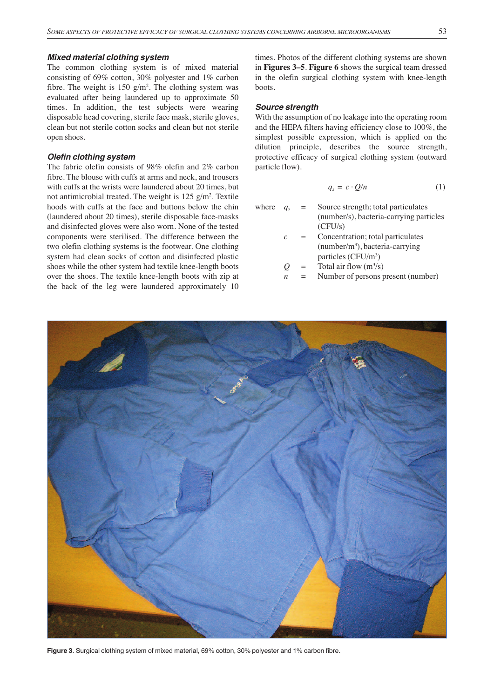#### *Mixed material clothing system*

The common clothing system is of mixed material consisting of 69% cotton, 30% polyester and 1% carbon fibre. The weight is  $150 \text{ g/m}^2$ . The clothing system was evaluated after being laundered up to approximate 50 times. In addition, the test subjects were wearing disposable head covering, sterile face mask, sterile gloves, clean but not sterile cotton socks and clean but not sterile open shoes.

#### *Olefin clothing system*

The fabric olefin consists of 98% olefin and 2% carbon fibre. The blouse with cuffs at arms and neck, and trousers with cuffs at the wrists were laundered about 20 times, but not antimicrobial treated. The weight is 125 g/m<sup>2</sup>. Textile hoods with cuffs at the face and buttons below the chin (laundered about 20 times), sterile disposable face-masks and disinfected gloves were also worn. None of the tested components were sterilised. The difference between the two olefin clothing systems is the footwear. One clothing system had clean socks of cotton and disinfected plastic shoes while the other system had textile knee-length boots over the shoes. The textile knee-length boots with zip at the back of the leg were laundered approximately 10

times. Photos of the different clothing systems are shown in **Figures 3–5**. **Figure 6** shows the surgical team dressed in the olefin surgical clothing system with knee-length boots.

#### *Source strength*

With the assumption of no leakage into the operating room and the HEPA filters having efficiency close to 100%, the simplest possible expression, which is applied on the dilution principle, describes the source strength, protective efficacy of surgical clothing system (outward particle flow).

$$
q_s = c \cdot Q/n \tag{1}
$$

where  $q_s$  = Source strength; total particulates

- (number/s), bacteria-carrying particles (CFU/s)
- **Concentration**; total particulates (number/m3 ), bacteria-carrying particles (CFU/m<sup>3</sup>)
- $Q =$  Total air flow  $(m^3/s)$ 
	- *Number of persons present (number)*



**Figure 3**. Surgical clothing system of mixed material, 69% cotton, 30% polyester and 1% carbon fibre.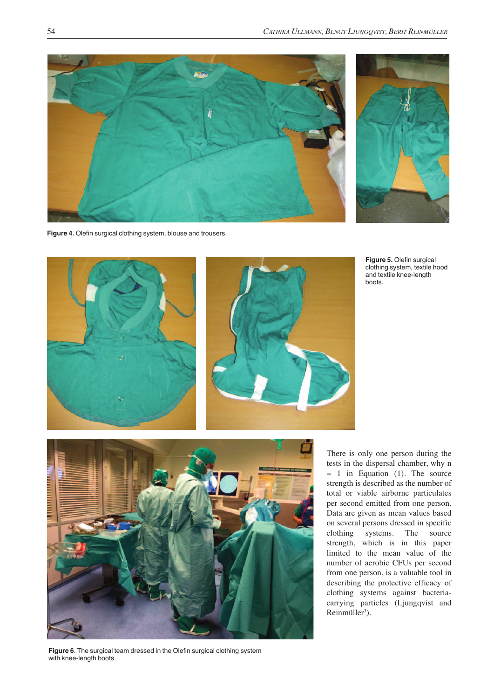



**Figure 4.** Olefin surgical clothing system, blouse and trousers.



**Figure 6**. The surgical team dressed in the Olefin surgical clothing system with knee-length boots.

**Figure 5.** Olefin surgical clothing system, textile hood and textile knee-length boots.

There is only one person during the tests in the dispersal chamber, why n  $= 1$  in Equation (1). The source strength is described as the number of total or viable airborne particulates per second emitted from one person. Data are given as mean values based on several persons dressed in specific clothing systems. The source strength, which is in this paper limited to the mean value of the number of aerobic CFUs per second from one person, is a valuable tool in describing the protective efficacy of clothing systems against bacteriacarrying particles (Ljungqvist and  $Reinmüller<sup>3</sup>$ ).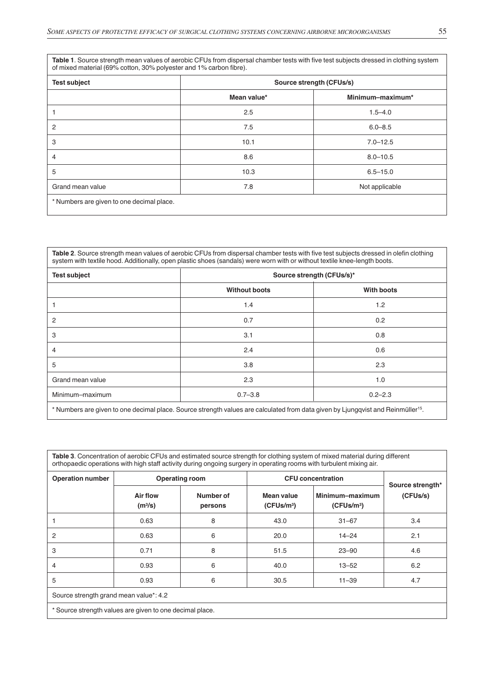**Table 1**. Source strength mean values of aerobic CFUs from dispersal chamber tests with five test subjects dressed in clothing system of mixed material (69% cotton, 30% polyester and 1% carbon fibre).

| <b>Test subject</b>                       | Source strength (CFUs/s) |                  |  |  |
|-------------------------------------------|--------------------------|------------------|--|--|
|                                           | Mean value*              | Minimum-maximum* |  |  |
|                                           | 2.5                      | $1.5 - 4.0$      |  |  |
| $\overline{c}$                            | 7.5                      | $6.0 - 8.5$      |  |  |
| 3                                         | 10.1                     | $7.0 - 12.5$     |  |  |
| $\overline{4}$                            | 8.6                      | $8.0 - 10.5$     |  |  |
| 5                                         | 10.3                     | $6.5 - 15.0$     |  |  |
| Grand mean value                          | 7.8                      | Not applicable   |  |  |
| * Numbers are given to one decimal place. |                          |                  |  |  |

**Table 2**. Source strength mean values of aerobic CFUs from dispersal chamber tests with five test subjects dressed in olefin clothing system with textile hood. Additionally, open plastic shoes (sandals) were worn with or without textile knee-length boots.

| <b>Test subject</b> | Source strength (CFUs/s)* |             |  |  |  |
|---------------------|---------------------------|-------------|--|--|--|
|                     | <b>Without boots</b>      | With boots  |  |  |  |
|                     | 1.4                       | 1.2         |  |  |  |
| $\overline{2}$      | 0.7                       | 0.2         |  |  |  |
| 3                   | 3.1                       | 0.8         |  |  |  |
| $\overline{4}$      | 2.4                       | 0.6         |  |  |  |
| 5                   | 3.8                       | 2.3         |  |  |  |
| Grand mean value    | 2.3                       | 1.0         |  |  |  |
| Minimum-maximum     | $0.7 - 3.8$               | $0.2 - 2.3$ |  |  |  |
|                     |                           |             |  |  |  |

\* Numbers are given to one decimal place. Source strength values are calculated from data given by Ljungqvist and Reinmüller15.

**Table 3**. Concentration of aerobic CFUs and estimated source strength for clothing system of mixed material during different orthopaedic operations with high staff activity during ongoing surgery in operating rooms with turbulent mixing air.

| <b>Operation number</b>                                  | <b>Operating room</b>           |                      | <b>CFU</b> concentration                    | Source strength*                          |          |  |
|----------------------------------------------------------|---------------------------------|----------------------|---------------------------------------------|-------------------------------------------|----------|--|
|                                                          | Air flow<br>(m <sup>3</sup> /s) | Number of<br>persons | <b>Mean value</b><br>(CFUs/m <sup>3</sup> ) | Minimum-maximum<br>(CFUs/m <sup>3</sup> ) | (CFUs/s) |  |
|                                                          | 0.63                            | 8                    | 43.0                                        | $31 - 67$                                 | 3.4      |  |
| 2                                                        | 0.63                            | 6                    | 20.0                                        | $14 - 24$                                 | 2.1      |  |
| 3                                                        | 0.71                            | 8                    | 51.5                                        | $23 - 90$                                 | 4.6      |  |
| 4                                                        | 0.93                            | 6                    | 40.0                                        | $13 - 52$                                 | 6.2      |  |
| 5                                                        | 0.93                            | 6                    | 30.5                                        | $11 - 39$                                 | 4.7      |  |
| Source strength grand mean value*: 4.2                   |                                 |                      |                                             |                                           |          |  |
| * Source strength values are given to one decimal place. |                                 |                      |                                             |                                           |          |  |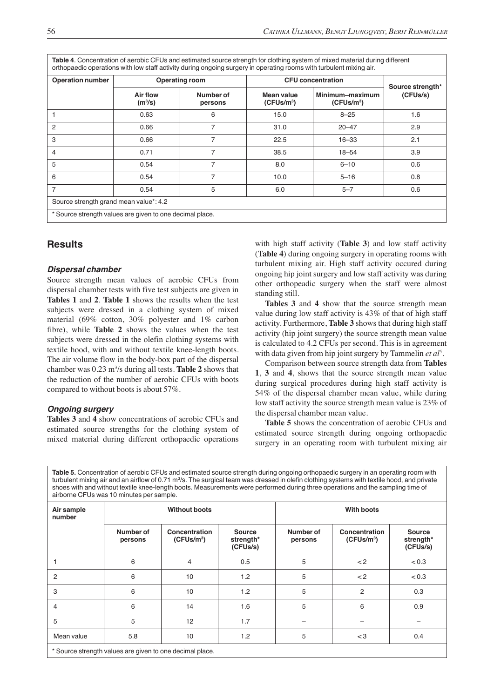**Table 4**. Concentration of aerobic CFUs and estimated source strength for clothing system of mixed material during different orthopaedic operations with low staff activity during ongoing surgery in operating rooms with turbulent mixing air.

| <b>Operation number</b><br><b>Operating room</b>         |                                        |                      | <b>CFU</b> concentration             |                                           |                              |
|----------------------------------------------------------|----------------------------------------|----------------------|--------------------------------------|-------------------------------------------|------------------------------|
|                                                          | <b>Air flow</b><br>(m <sup>3</sup> /s) | Number of<br>persons | Mean value<br>(CFUs/m <sup>3</sup> ) | Minimum-maximum<br>(CFUs/m <sup>3</sup> ) | Source strength*<br>(CFUs/s) |
|                                                          | 0.63                                   | 6                    | 15.0                                 | $8 - 25$                                  | 1.6                          |
| $\overline{c}$                                           | 0.66                                   | $\overline{7}$       | 31.0                                 | $20 - 47$                                 | 2.9                          |
| 3                                                        | 0.66                                   | 7                    | 22.5                                 | $16 - 33$                                 | 2.1                          |
| 4                                                        | 0.71                                   | 7                    | 38.5                                 | $18 - 54$                                 | 3.9                          |
| 5                                                        | 0.54                                   | 7                    | 8.0                                  | $6 - 10$                                  | 0.6                          |
| 6                                                        | 0.54                                   | 7                    | 10.0                                 | $5 - 16$                                  | 0.8                          |
| $\overline{7}$                                           | 0.54                                   | 5                    | 6.0                                  | $5 - 7$                                   | 0.6                          |
| Source strength grand mean value*: 4.2                   |                                        |                      |                                      |                                           |                              |
| * Source strength values are given to one decimal place. |                                        |                      |                                      |                                           |                              |

## **Results**

#### *Dispersal chamber*

Source strength mean values of aerobic CFUs from dispersal chamber tests with five test subjects are given in **Tables 1** and **2**. **Table 1** shows the results when the test subjects were dressed in a clothing system of mixed material (69% cotton, 30% polyester and 1% carbon fibre), while **Table 2** shows the values when the test subjects were dressed in the olefin clothing systems with textile hood, with and without textile knee-length boots. The air volume flow in the body-box part of the dispersal chamber was 0.23 m3 /s during all tests. **Table 2** shows that the reduction of the number of aerobic CFUs with boots compared to without boots is about 57%.

## *Ongoing surgery*

**Tables 3** and **4** show concentrations of aerobic CFUs and estimated source strengths for the clothing system of mixed material during different orthopaedic operations

with high staff activity (**Table 3**) and low staff activity (**Table 4**) during ongoing surgery in operating rooms with turbulent mixing air. High staff activity occured during ongoing hip joint surgery and low staff activity was during other orthopeadic surgery when the staff were almost standing still.

**Tables 3** and **4** show that the source strength mean value during low staff activity is 43% of that of high staff activity. Furthermore, **Table 3** shows that during high staff activity (hip joint surgery) the source strength mean value is calculated to 4.2 CFUs per second. This is in agreement with data given from hip joint surgery by Tammelin et al<sup>5</sup>.

Comparison between source strength data from **Tables 1**, **3** and **4**, shows that the source strength mean value during surgical procedures during high staff activity is 54% of the dispersal chamber mean value, while during low staff activity the source strength mean value is 23% of the dispersal chamber mean value.

**Table 5** shows the concentration of aerobic CFUs and estimated source strength during ongoing orthopaedic surgery in an operating room with turbulent mixing air

**Table 5.** Concentration of aerobic CFUs and estimated source strength during ongoing orthopaedic surgery in an operating room with turbulent mixing air and an airflow of 0.71 m<sup>3</sup>/s. The surgical team was dressed in olefin clothing systems with textile hood, and private shoes with and without textile knee-length boots. Measurements were performed during three operations and the sampling time of airborne CFUs was 10 minutes per sample.

| Air sample<br>number                                     | <b>Without boots</b> |                                         |                                        | <b>With boots</b>    |                                                |                                        |
|----------------------------------------------------------|----------------------|-----------------------------------------|----------------------------------------|----------------------|------------------------------------------------|----------------------------------------|
|                                                          | Number of<br>persons | Concentration<br>(CFUs/m <sup>3</sup> ) | <b>Source</b><br>strength*<br>(CFUs/s) | Number of<br>persons | <b>Concentration</b><br>(CFUs/m <sup>3</sup> ) | <b>Source</b><br>strength*<br>(CFUs/s) |
|                                                          | 6                    | $\overline{4}$                          | 0.5                                    | 5                    | $<$ 2                                          | < 0.3                                  |
| 2                                                        | 6                    | 10                                      | 1.2                                    | 5                    | $<$ 2                                          | < 0.3                                  |
| 3                                                        | 6                    | 10                                      | 1.2                                    | 5                    | $\overline{c}$                                 | 0.3                                    |
| 4                                                        | 6                    | 14                                      | 1.6                                    | 5                    | 6                                              | 0.9                                    |
| 5                                                        | 5                    | 12                                      | 1.7                                    |                      |                                                |                                        |
| Mean value                                               | 5.8                  | 10                                      | 1.2                                    | 5                    | $<$ 3                                          | 0.4                                    |
| * Source strength values are given to one decimal place. |                      |                                         |                                        |                      |                                                |                                        |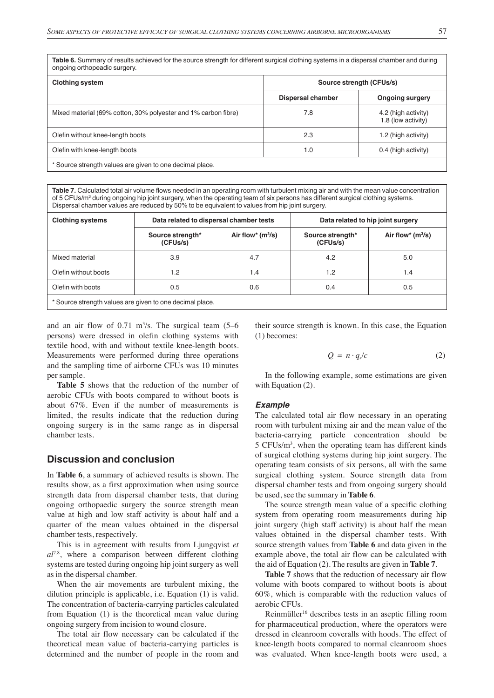**Table 6.** Summary of results achieved for the source strength for different surgical clothing systems in a dispersal chamber and during ongoing orthopeadic surgery.

| <b>Clothing system</b>                                         | Source strength (CFUs/s) |                                           |  |  |
|----------------------------------------------------------------|--------------------------|-------------------------------------------|--|--|
|                                                                | <b>Dispersal chamber</b> | <b>Ongoing surgery</b>                    |  |  |
| Mixed material (69% cotton, 30% polyester and 1% carbon fibre) | 7.8                      | 4.2 (high activity)<br>1.8 (low activity) |  |  |
| Olefin without knee-length boots                               | 2.3                      | 1.2 (high activity)                       |  |  |
| Olefin with knee-length boots                                  | 1.0                      | 0.4 (high activity)                       |  |  |
| * Source strength values are given to one decimal place.       |                          |                                           |  |  |

**Table 7.** Calculated total air volume flows needed in an operating room with turbulent mixing air and with the mean value concentration of 5 CFUs/m<sup>3</sup> during ongoing hip joint surgery, when the operating team of six persons has different surgical clothing systems. Dispersal chamber values are reduced by 50% to be equivalent to values from hip joint surgery.

| <b>Clothing systems</b>                                  | Data related to dispersal chamber tests |                     | Data related to hip joint surgery |                     |  |
|----------------------------------------------------------|-----------------------------------------|---------------------|-----------------------------------|---------------------|--|
|                                                          | Source strength*<br>(CFUs/s)            | Air flow* $(m^3/s)$ | Source strength*<br>(CFUs/s)      | Air flow* $(m^3/s)$ |  |
| Mixed material                                           | 3.9                                     | 4.7                 | 4.2                               | 5.0                 |  |
| Olefin without boots                                     | 1.2                                     | 1.4                 | 1.2                               | 1.4                 |  |
| Olefin with boots                                        | 0.5                                     | 0.6                 | 0.4                               | 0.5                 |  |
| * Source strength values are given to one decimal place. |                                         |                     |                                   |                     |  |

and an air flow of  $0.71 \text{ m}^3/\text{s}$ . The surgical team  $(5-6$ persons) were dressed in olefin clothing systems with textile hood, with and without textile knee-length boots. Measurements were performed during three operations and the sampling time of airborne CFUs was 10 minutes per sample.

**Table 5** shows that the reduction of the number of aerobic CFUs with boots compared to without boots is about 67%. Even if the number of measurements is limited, the results indicate that the reduction during ongoing surgery is in the same range as in dispersal chamber tests.

## **Discussion and conclusion**

In **Table 6**, a summary of achieved results is shown. The results show, as a first approximation when using source strength data from dispersal chamber tests, that during ongoing orthopaedic surgery the source strength mean value at high and low staff activity is about half and a quarter of the mean values obtained in the dispersal chamber tests, respectively.

This is in agreement with results from Ljungqvist *et al*7,8, where a comparison between different clothing systems are tested during ongoing hip joint surgery as well as in the dispersal chamber.

When the air movements are turbulent mixing, the dilution principle is applicable, i.e. Equation (1) is valid. The concentration of bacteria-carrying particles calculated from Equation (1) is the theoretical mean value during ongoing surgery from incision to wound closure.

The total air flow necessary can be calculated if the theoretical mean value of bacteria-carrying particles is determined and the number of people in the room and

their source strength is known. In this case, the Equation (1) becomes:

$$
Q = n \cdot q_s/c \tag{2}
$$

In the following example, some estimations are given with Equation (2).

#### *Example*

The calculated total air flow necessary in an operating room with turbulent mixing air and the mean value of the bacteria-carrying particle concentration should be  $5 CFUs/m<sup>3</sup>$ , when the operating team has different kinds of surgical clothing systems during hip joint surgery. The operating team consists of six persons, all with the same surgical clothing system. Source strength data from dispersal chamber tests and from ongoing surgery should be used, see the summary in **Table 6**.

The source strength mean value of a specific clothing system from operating room measurements during hip joint surgery (high staff activity) is about half the mean values obtained in the dispersal chamber tests. With source strength values from **Table 6** and data given in the example above, the total air flow can be calculated with the aid of Equation (2). The results are given in **Table 7**.

**Table 7** shows that the reduction of necessary air flow volume with boots compared to without boots is about 60%, which is comparable with the reduction values of aerobic CFUs.

Reinmüller<sup>16</sup> describes tests in an aseptic filling room for pharmaceutical production, where the operators were dressed in cleanroom coveralls with hoods. The effect of knee-length boots compared to normal cleanroom shoes was evaluated. When knee-length boots were used, a